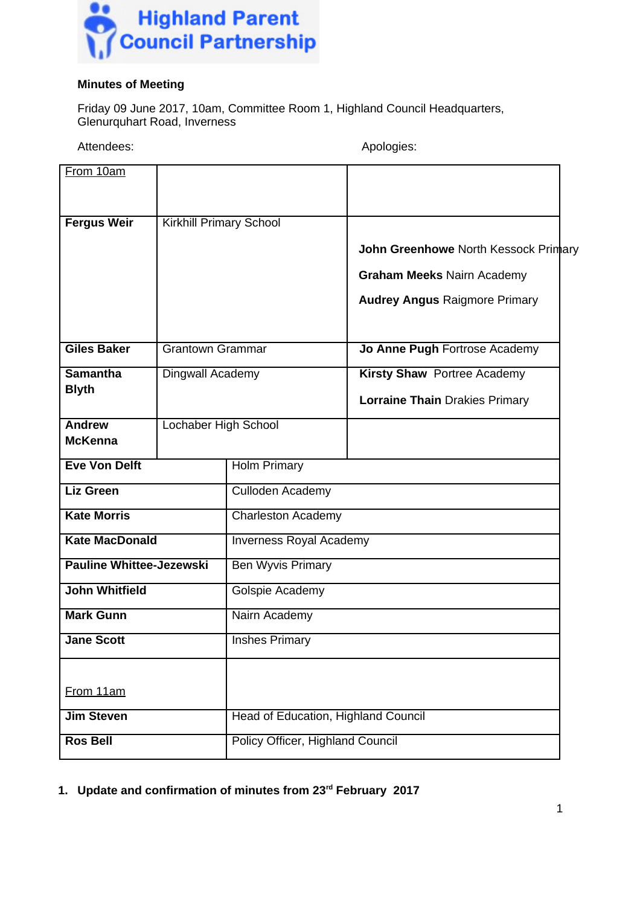

## **Minutes of Meeting**

Friday 09 June 2017, 10am, Committee Room 1, Highland Council Headquarters, Glenurquhart Road, Inverness

Attendees: Attendees: Apologies: Apologies: Apologies: Apologies: Apologies: Apologies: Apologies: Apologies: Apologies: Apologies: Apologies: Apologies: Apologies: Apologies: Apologies: Apologies: Apologies: Apologies: Ap

From 10am **Fergus Weir** | Kirkhill Primary School **John Greenhowe** North Kessock Primary **Graham Meeks** Nairn Academy **Audrey Angus** Raigmore Primary **Giles Baker** Grantown Grammar **Jo Anne Pugh Fortrose Academy Samantha Blyth** Dingwall Academy **Kirsty Shaw** Portree Academy **Lorraine Thain** Drakies Primary **Andrew McKenna** Lochaber High School **Eve Von Delft** Holm Primary **Liz Green** Culloden Academy **Kate Morris** Charleston Academy **Kate MacDonald Inverness Royal Academy Pauline Whittee-Jezewski** | Ben Wyvis Primary **John Whitfield** Golspie Academy **Mark Gunn** | Nairn Academy **Jane Scott** | Inshes Primary From 11am **Jim Steven** Head of Education, Highland Council **Ros Bell** Policy Officer, Highland Council

**1. Update and confirmation of minutes from 23rd February 2017**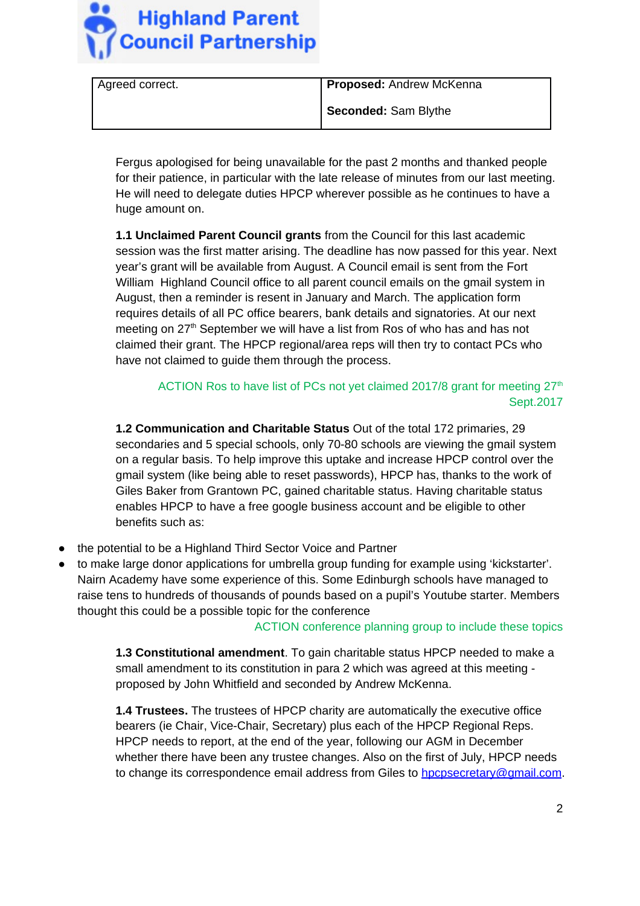

| Agreed correct. | Proposed: Andrew McKenna |
|-----------------|--------------------------|
|                 | Seconded: Sam Blythe     |

Fergus apologised for being unavailable for the past 2 months and thanked people for their patience, in particular with the late release of minutes from our last meeting. He will need to delegate duties HPCP wherever possible as he continues to have a huge amount on.

**1.1 Unclaimed Parent Council grants** from the Council for this last academic session was the first matter arising. The deadline has now passed for this year. Next year's grant will be available from August. A Council email is sent from the Fort William Highland Council office to all parent council emails on the gmail system in August, then a reminder is resent in January and March. The application form requires details of all PC office bearers, bank details and signatories. At our next meeting on 27<sup>th</sup> September we will have a list from Ros of who has and has not claimed their grant. The HPCP regional/area reps will then try to contact PCs who have not claimed to guide them through the process.

ACTION Ros to have list of PCs not yet claimed 2017/8 grant for meeting  $27<sup>th</sup>$ Sept.2017

**1.2 Communication and Charitable Status** Out of the total 172 primaries, 29 secondaries and 5 special schools, only 70-80 schools are viewing the gmail system on a regular basis. To help improve this uptake and increase HPCP control over the gmail system (like being able to reset passwords), HPCP has, thanks to the work of Giles Baker from Grantown PC, gained charitable status. Having charitable status enables HPCP to have a free google business account and be eligible to other benefits such as:

- the potential to be a Highland Third Sector Voice and Partner
- to make large donor applications for umbrella group funding for example using 'kickstarter'. Nairn Academy have some experience of this. Some Edinburgh schools have managed to raise tens to hundreds of thousands of pounds based on a pupil's Youtube starter. Members thought this could be a possible topic for the conference

ACTION conference planning group to include these topics

**1.3 Constitutional amendment**. To gain charitable status HPCP needed to make a small amendment to its constitution in para 2 which was agreed at this meeting proposed by John Whitfield and seconded by Andrew McKenna.

**1.4 Trustees.** The trustees of HPCP charity are automatically the executive office bearers (ie Chair, Vice-Chair, Secretary) plus each of the HPCP Regional Reps. HPCP needs to report, at the end of the year, following our AGM in December whether there have been any trustee changes. Also on the first of July, HPCP needs to change its correspondence email address from Giles to [hpcpsecretary@gmail.com.](mailto:hpcpsecretary@gmail.com)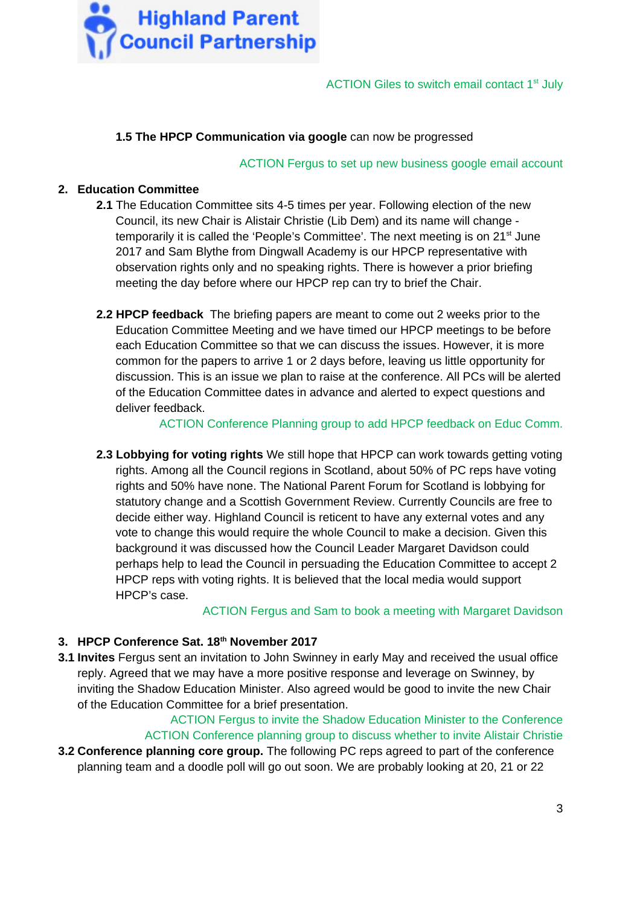

## **1.5 The HPCP Communication via google** can now be progressed

ACTION Fergus to set up new business google email account

### **2. Education Committee**

- **2.1** The Education Committee sits 4-5 times per year. Following election of the new Council, its new Chair is Alistair Christie (Lib Dem) and its name will change temporarily it is called the 'People's Committee'. The next meeting is on  $21<sup>st</sup>$  June 2017 and Sam Blythe from Dingwall Academy is our HPCP representative with observation rights only and no speaking rights. There is however a prior briefing meeting the day before where our HPCP rep can try to brief the Chair.
- **2.2 HPCP feedback** The briefing papers are meant to come out 2 weeks prior to the Education Committee Meeting and we have timed our HPCP meetings to be before each Education Committee so that we can discuss the issues. However, it is more common for the papers to arrive 1 or 2 days before, leaving us little opportunity for discussion. This is an issue we plan to raise at the conference. All PCs will be alerted of the Education Committee dates in advance and alerted to expect questions and deliver feedback.

ACTION Conference Planning group to add HPCP feedback on Educ Comm.

**2.3 Lobbying for voting rights** We still hope that HPCP can work towards getting voting rights. Among all the Council regions in Scotland, about 50% of PC reps have voting rights and 50% have none. The National Parent Forum for Scotland is lobbying for statutory change and a Scottish Government Review. Currently Councils are free to decide either way. Highland Council is reticent to have any external votes and any vote to change this would require the whole Council to make a decision. Given this background it was discussed how the Council Leader Margaret Davidson could perhaps help to lead the Council in persuading the Education Committee to accept 2 HPCP reps with voting rights. It is believed that the local media would support HPCP's case.

ACTION Fergus and Sam to book a meeting with Margaret Davidson

## **3. HPCP Conference Sat. 18th November 2017**

**3.1 Invites** Fergus sent an invitation to John Swinney in early May and received the usual office reply. Agreed that we may have a more positive response and leverage on Swinney, by inviting the Shadow Education Minister. Also agreed would be good to invite the new Chair of the Education Committee for a brief presentation.

ACTION Fergus to invite the Shadow Education Minister to the Conference ACTION Conference planning group to discuss whether to invite Alistair Christie **3.2 Conference planning core group.** The following PC reps agreed to part of the conference planning team and a doodle poll will go out soon. We are probably looking at 20, 21 or 22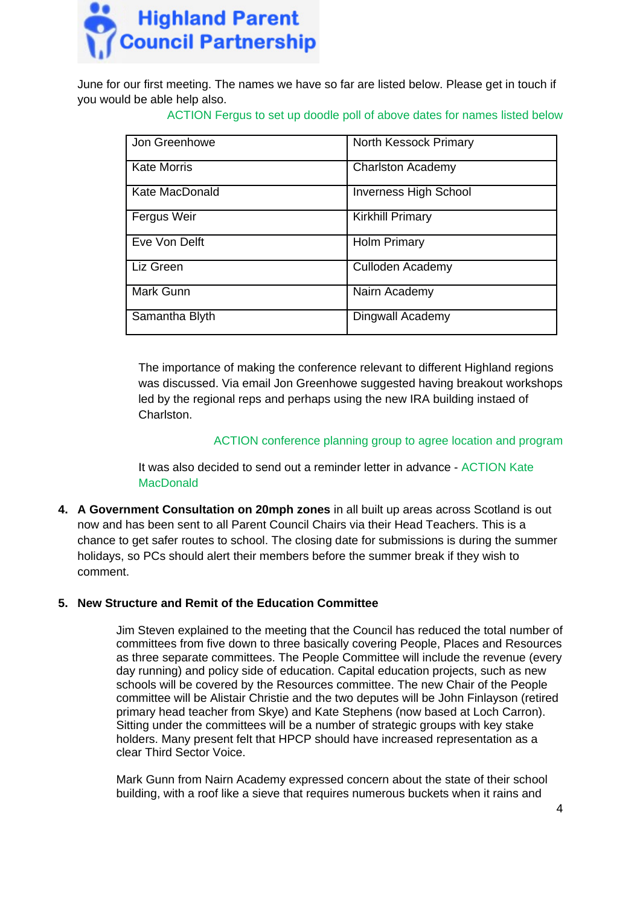

June for our first meeting. The names we have so far are listed below. Please get in touch if you would be able help also.

ACTION Fergus to set up doodle poll of above dates for names listed below

| Jon Greenhowe      | North Kessock Primary        |
|--------------------|------------------------------|
| <b>Kate Morris</b> | <b>Charlston Academy</b>     |
| Kate MacDonald     | <b>Inverness High School</b> |
| Fergus Weir        | <b>Kirkhill Primary</b>      |
| Eve Von Delft      | <b>Holm Primary</b>          |
| Liz Green          | Culloden Academy             |
| Mark Gunn          | Nairn Academy                |
| Samantha Blyth     | Dingwall Academy             |

The importance of making the conference relevant to different Highland regions was discussed. Via email Jon Greenhowe suggested having breakout workshops led by the regional reps and perhaps using the new IRA building instaed of Charlston.

## ACTION conference planning group to agree location and program

It was also decided to send out a reminder letter in advance - ACTION Kate MacDonald

**4. A Government Consultation on 20mph zones** in all built up areas across Scotland is out now and has been sent to all Parent Council Chairs via their Head Teachers. This is a chance to get safer routes to school. The closing date for submissions is during the summer holidays, so PCs should alert their members before the summer break if they wish to comment.

## **5. New Structure and Remit of the Education Committee**

Jim Steven explained to the meeting that the Council has reduced the total number of committees from five down to three basically covering People, Places and Resources as three separate committees. The People Committee will include the revenue (every day running) and policy side of education. Capital education projects, such as new schools will be covered by the Resources committee. The new Chair of the People committee will be Alistair Christie and the two deputes will be John Finlayson (retired primary head teacher from Skye) and Kate Stephens (now based at Loch Carron). Sitting under the committees will be a number of strategic groups with key stake holders. Many present felt that HPCP should have increased representation as a clear Third Sector Voice.

Mark Gunn from Nairn Academy expressed concern about the state of their school building, with a roof like a sieve that requires numerous buckets when it rains and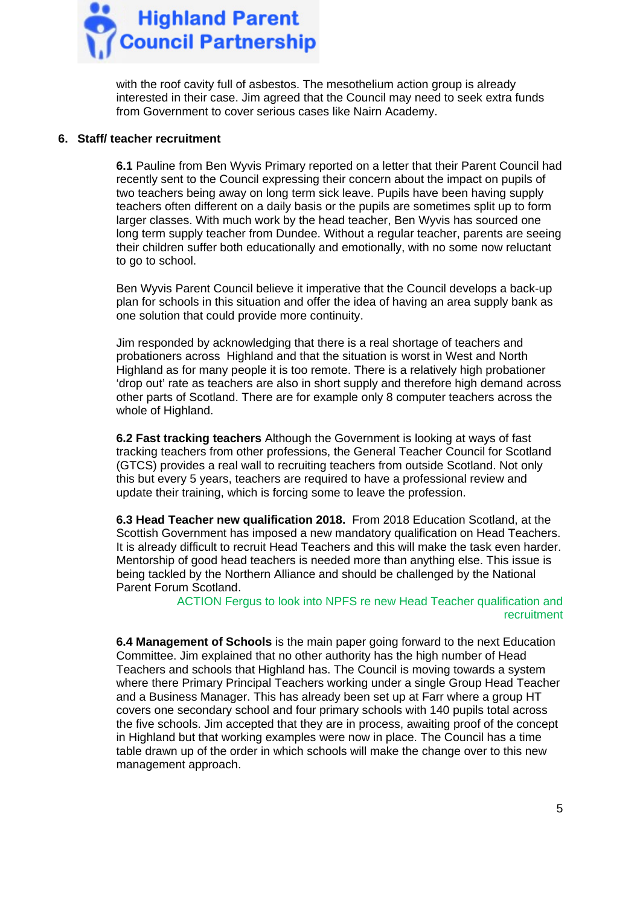

with the roof cavity full of asbestos. The mesothelium action group is already interested in their case. Jim agreed that the Council may need to seek extra funds from Government to cover serious cases like Nairn Academy.

#### **6. Staff/ teacher recruitment**

**6.1** Pauline from Ben Wyvis Primary reported on a letter that their Parent Council had recently sent to the Council expressing their concern about the impact on pupils of two teachers being away on long term sick leave. Pupils have been having supply teachers often different on a daily basis or the pupils are sometimes split up to form larger classes. With much work by the head teacher, Ben Wyvis has sourced one long term supply teacher from Dundee. Without a regular teacher, parents are seeing their children suffer both educationally and emotionally, with no some now reluctant to go to school.

Ben Wyvis Parent Council believe it imperative that the Council develops a back-up plan for schools in this situation and offer the idea of having an area supply bank as one solution that could provide more continuity.

Jim responded by acknowledging that there is a real shortage of teachers and probationers across Highland and that the situation is worst in West and North Highland as for many people it is too remote. There is a relatively high probationer 'drop out' rate as teachers are also in short supply and therefore high demand across other parts of Scotland. There are for example only 8 computer teachers across the whole of Highland.

**6.2 Fast tracking teachers** Although the Government is looking at ways of fast tracking teachers from other professions, the General Teacher Council for Scotland (GTCS) provides a real wall to recruiting teachers from outside Scotland. Not only this but every 5 years, teachers are required to have a professional review and update their training, which is forcing some to leave the profession.

**6.3 Head Teacher new qualification 2018.** From 2018 Education Scotland, at the Scottish Government has imposed a new mandatory qualification on Head Teachers. It is already difficult to recruit Head Teachers and this will make the task even harder. Mentorship of good head teachers is needed more than anything else. This issue is being tackled by the Northern Alliance and should be challenged by the National Parent Forum Scotland.

ACTION Fergus to look into NPFS re new Head Teacher qualification and recruitment

**6.4 Management of Schools** is the main paper going forward to the next Education Committee. Jim explained that no other authority has the high number of Head Teachers and schools that Highland has. The Council is moving towards a system where there Primary Principal Teachers working under a single Group Head Teacher and a Business Manager. This has already been set up at Farr where a group HT covers one secondary school and four primary schools with 140 pupils total across the five schools. Jim accepted that they are in process, awaiting proof of the concept in Highland but that working examples were now in place. The Council has a time table drawn up of the order in which schools will make the change over to this new management approach.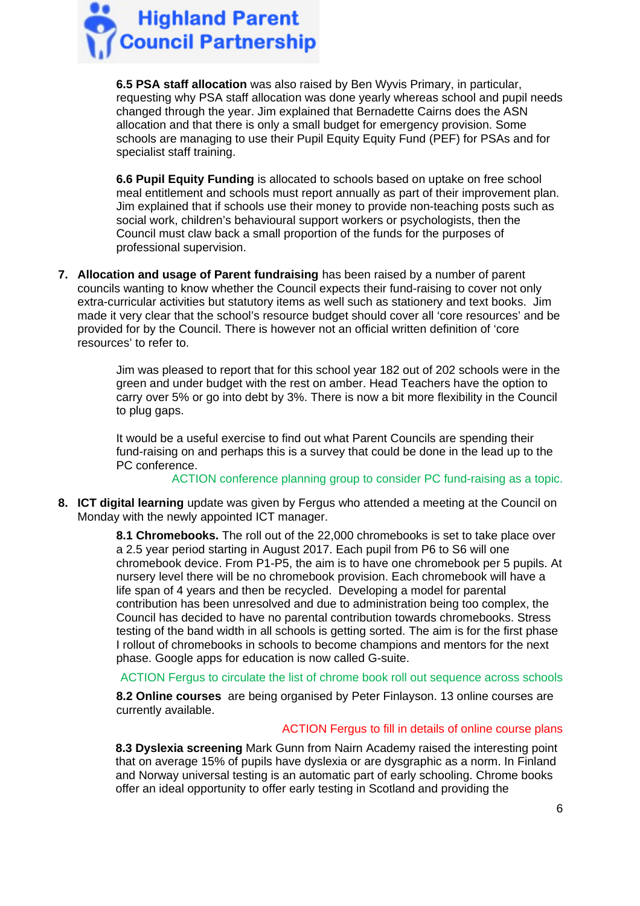

**6.5 PSA staff allocation** was also raised by Ben Wyvis Primary, in particular, requesting why PSA staff allocation was done yearly whereas school and pupil needs changed through the year. Jim explained that Bernadette Cairns does the ASN allocation and that there is only a small budget for emergency provision. Some schools are managing to use their Pupil Equity Equity Fund (PEF) for PSAs and for specialist staff training.

**6.6 Pupil Equity Funding** is allocated to schools based on uptake on free school meal entitlement and schools must report annually as part of their improvement plan. Jim explained that if schools use their money to provide non-teaching posts such as social work, children's behavioural support workers or psychologists, then the Council must claw back a small proportion of the funds for the purposes of professional supervision.

**7. Allocation and usage of Parent fundraising** has been raised by a number of parent councils wanting to know whether the Council expects their fund-raising to cover not only extra-curricular activities but statutory items as well such as stationery and text books. Jim made it very clear that the school's resource budget should cover all 'core resources' and be provided for by the Council. There is however not an official written definition of 'core resources' to refer to.

> Jim was pleased to report that for this school year 182 out of 202 schools were in the green and under budget with the rest on amber. Head Teachers have the option to carry over 5% or go into debt by 3%. There is now a bit more flexibility in the Council to plug gaps.

It would be a useful exercise to find out what Parent Councils are spending their fund-raising on and perhaps this is a survey that could be done in the lead up to the PC conference.

ACTION conference planning group to consider PC fund-raising as a topic.

**8. ICT digital learning** update was given by Fergus who attended a meeting at the Council on Monday with the newly appointed ICT manager.

> **8.1 Chromebooks.** The roll out of the 22,000 chromebooks is set to take place over a 2.5 year period starting in August 2017. Each pupil from P6 to S6 will one chromebook device. From P1-P5, the aim is to have one chromebook per 5 pupils. At nursery level there will be no chromebook provision. Each chromebook will have a life span of 4 years and then be recycled. Developing a model for parental contribution has been unresolved and due to administration being too complex, the Council has decided to have no parental contribution towards chromebooks. Stress testing of the band width in all schools is getting sorted. The aim is for the first phase I rollout of chromebooks in schools to become champions and mentors for the next phase. Google apps for education is now called G-suite.

> ACTION Fergus to circulate the list of chrome book roll out sequence across schools

**8.2 Online courses** are being organised by Peter Finlayson. 13 online courses are currently available.

## ACTION Fergus to fill in details of online course plans

**8.3 Dyslexia screening** Mark Gunn from Nairn Academy raised the interesting point that on average 15% of pupils have dyslexia or are dysgraphic as a norm. In Finland and Norway universal testing is an automatic part of early schooling. Chrome books offer an ideal opportunity to offer early testing in Scotland and providing the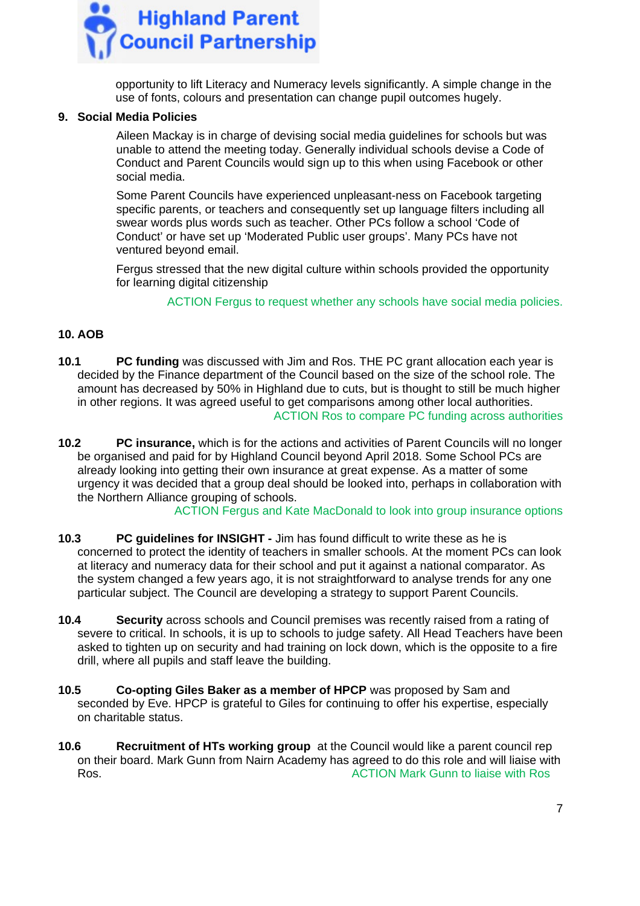

opportunity to lift Literacy and Numeracy levels significantly. A simple change in the use of fonts, colours and presentation can change pupil outcomes hugely.

## **9. Social Media Policies**

Aileen Mackay is in charge of devising social media guidelines for schools but was unable to attend the meeting today. Generally individual schools devise a Code of Conduct and Parent Councils would sign up to this when using Facebook or other social media.

Some Parent Councils have experienced unpleasant-ness on Facebook targeting specific parents, or teachers and consequently set up language filters including all swear words plus words such as teacher. Other PCs follow a school 'Code of Conduct' or have set up 'Moderated Public user groups'. Many PCs have not ventured beyond email.

Fergus stressed that the new digital culture within schools provided the opportunity for learning digital citizenship

ACTION Fergus to request whether any schools have social media policies.

## **10. AOB**

- **10.1 PC funding** was discussed with Jim and Ros. THE PC grant allocation each year is decided by the Finance department of the Council based on the size of the school role. The amount has decreased by 50% in Highland due to cuts, but is thought to still be much higher in other regions. It was agreed useful to get comparisons among other local authorities. ACTION Ros to compare PC funding across authorities
- **10.2 PC insurance,** which is for the actions and activities of Parent Councils will no longer be organised and paid for by Highland Council beyond April 2018. Some School PCs are already looking into getting their own insurance at great expense. As a matter of some urgency it was decided that a group deal should be looked into, perhaps in collaboration with the Northern Alliance grouping of schools.

ACTION Fergus and Kate MacDonald to look into group insurance options

- **10.3 PC guidelines for INSIGHT -** Jim has found difficult to write these as he is concerned to protect the identity of teachers in smaller schools. At the moment PCs can look at literacy and numeracy data for their school and put it against a national comparator. As the system changed a few years ago, it is not straightforward to analyse trends for any one particular subject. The Council are developing a strategy to support Parent Councils.
- **10.4 Security** across schools and Council premises was recently raised from a rating of severe to critical. In schools, it is up to schools to judge safety. All Head Teachers have been asked to tighten up on security and had training on lock down, which is the opposite to a fire drill, where all pupils and staff leave the building.
- **10.5 Co-opting Giles Baker as a member of HPCP** was proposed by Sam and seconded by Eve. HPCP is grateful to Giles for continuing to offer his expertise, especially on charitable status.
- **10.6 Recruitment of HTs working group** at the Council would like a parent council rep on their board. Mark Gunn from Nairn Academy has agreed to do this role and will liaise with Ros. ACTION Mark Gunn to liaise with Ros